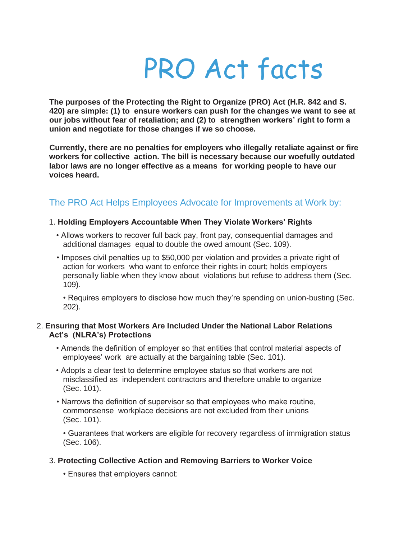# PRO Act facts

**The purposes of the Protecting the Right to Organize (PRO) Act (H.R. 842 and S. 420) are simple: (1) to ensure workers can push for the changes we want to see at our jobs without fear of retaliation; and (2) to strengthen workers' right to form a union and negotiate for those changes if we so choose.**

**Currently, there are no penalties for employers who illegally retaliate against or fire workers for collective action. The bill is necessary because our woefully outdated labor laws are no longer effective as a means for working people to have our voices heard.** 

# The PRO Act Helps Employees Advocate for Improvements at Work by:

#### 1. **Holding Employers Accountable When They Violate Workers' Rights**

- Allows workers to recover full back pay, front pay, consequential damages and additional damages equal to double the owed amount (Sec. 109).
- Imposes civil penalties up to \$50,000 per violation and provides a private right of action for workers who want to enforce their rights in court; holds employers personally liable when they know about violations but refuse to address them (Sec. 109).

• Requires employers to disclose how much they're spending on union-busting (Sec. 202).

#### 2. **Ensuring that Most Workers Are Included Under the National Labor Relations Act's (NLRA's) Protections**

- Amends the definition of employer so that entities that control material aspects of employees' work are actually at the bargaining table (Sec. 101).
- Adopts a clear test to determine employee status so that workers are not misclassified as independent contractors and therefore unable to organize (Sec. 101).
- Narrows the definition of supervisor so that employees who make routine, commonsense workplace decisions are not excluded from their unions (Sec. 101).

• Guarantees that workers are eligible for recovery regardless of immigration status (Sec. 106).

# 3. **Protecting Collective Action and Removing Barriers to Worker Voice**

• Ensures that employers cannot: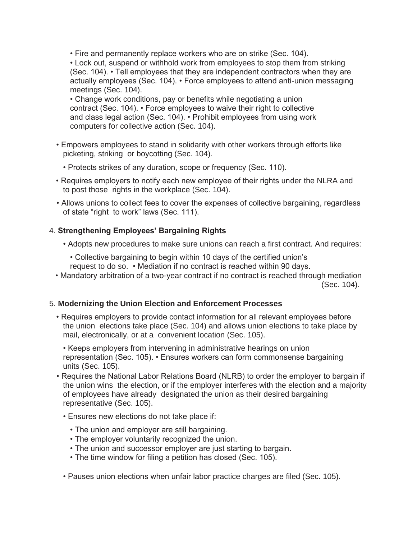• Fire and permanently replace workers who are on strike (Sec. 104).

• Lock out, suspend or withhold work from employees to stop them from striking (Sec. 104). • Tell employees that they are independent contractors when they are actually employees (Sec. 104). • Force employees to attend anti-union messaging meetings (Sec. 104).

• Change work conditions, pay or benefits while negotiating a union contract (Sec. 104). • Force employees to waive their right to collective and class legal action (Sec. 104). • Prohibit employees from using work computers for collective action (Sec. 104).

- Empowers employees to stand in solidarity with other workers through efforts like picketing, striking or boycotting (Sec. 104).
	- Protects strikes of any duration, scope or frequency (Sec. 110).
- Requires employers to notify each new employee of their rights under the NLRA and to post those rights in the workplace (Sec. 104).
- Allows unions to collect fees to cover the expenses of collective bargaining, regardless of state "right to work" laws (Sec. 111).

# 4. **Strengthening Employees' Bargaining Rights**

- Adopts new procedures to make sure unions can reach a first contract. And requires:
	- Collective bargaining to begin within 10 days of the certified union's request to do so. • Mediation if no contract is reached within 90 days.
- Mandatory arbitration of a two-year contract if no contract is reached through mediation (Sec. 104).

# 5. **Modernizing the Union Election and Enforcement Processes**

• Requires employers to provide contact information for all relevant employees before the union elections take place (Sec. 104) and allows union elections to take place by mail, electronically, or at a convenient location (Sec. 105).

• Keeps employers from intervening in administrative hearings on union representation (Sec. 105). • Ensures workers can form commonsense bargaining units (Sec. 105).

- Requires the National Labor Relations Board (NLRB) to order the employer to bargain if the union wins the election, or if the employer interferes with the election and a majority of employees have already designated the union as their desired bargaining representative (Sec. 105).
	- Ensures new elections do not take place if:
		- The union and employer are still bargaining.
		- The employer voluntarily recognized the union.
		- The union and successor employer are just starting to bargain.
		- The time window for filing a petition has closed (Sec. 105).

• Pauses union elections when unfair labor practice charges are filed (Sec. 105).